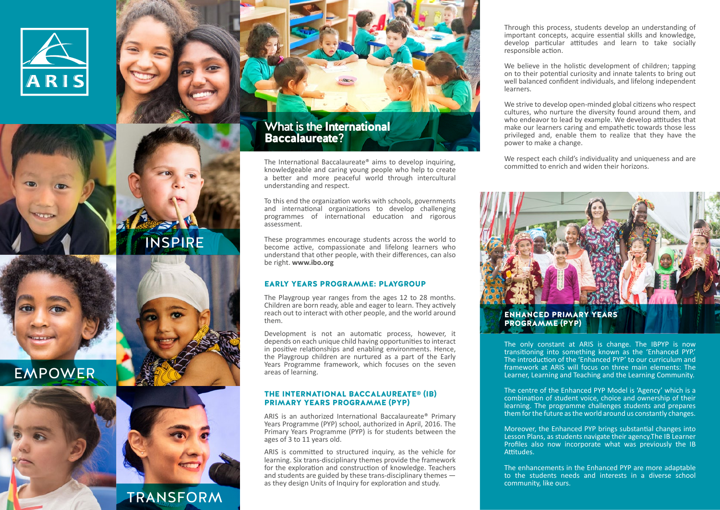

EMPOWER



INSPIRE

**TRANSFORM** 

## What is the International Baccalaureate?

The International Baccalaureate® aims to develop inquiring, knowledgeable and caring young people who help to create a better and more peaceful world through intercultural understanding and respect.

To this end the organization works with schools, governments and international organizations to develop challenging programmes of international education and rigorous assessment.

These programmes encourage students across the world to become active, compassionate and lifelong learners who understand that other people, with their differences, can also be right. **www.ibo.org**

### EARLY YEARS PROGRAMME: PLAYGROUP

The Playgroup year ranges from the ages 12 to 28 months. Children are born ready, able and eager to learn. They actively reach out to interact with other people, and the world around them.

Development is not an automatic process, however, it depends on each unique child having opportunities to interact in positive relationships and enabling environments. Hence, the Playgroup children are nurtured as a part of the Early Years Programme framework, which focuses on the seven areas of learning.

#### THE INTERNATIONAL BACCALAUREATE® (IB) PRIMARY YEARS PROGRAMME (PYP)

ARIS is an authorized International Baccalaureate® Primary Years Programme (PYP) school, authorized in April, 2016. The Primary Years Programme (PYP) is for students between the ages of 3 to 11 years old.

ARIS is committed to structured inquiry, as the vehicle for learning. Six trans-disciplinary themes provide the framework for the exploration and construction of knowledge. Teachers and students are guided by these trans-disciplinary themes as they design Units of Inquiry for exploration and study.

Through this process, students develop an understanding of important concepts, acquire essential skills and knowledge, develop particular attitudes and learn to take socially responsible action.

We believe in the holistic development of children; tapping on to their potential curiosity and innate talents to bring out well balanced confident individuals, and lifelong independent learners.

We strive to develop open-minded global citizens who respect cultures, who nurture the diversity found around them, and who endeavor to lead by example. We develop attitudes that make our learners caring and empathetic towards those less privileged and, enable them to realize that they have the power to make a change.

We respect each child's individuality and uniqueness and are committed to enrich and widen their horizons.



PROGRAMME (PYP)

The only constant at ARIS is change. The IBPYP is now transitioning into something known as the 'Enhanced PYP.' The introduction of the 'Enhanced PYP' to our curriculum and framework at ARIS will focus on three main elements: The Learner, Learning and Teaching and the Learning Community.

The centre of the Enhanced PYP Model is 'Agency' which is a combination of student voice, choice and ownership of their learning. The programme challenges students and prepares them for the future as the world around us constantly changes.

Moreover, the Enhanced PYP brings substantial changes into Lesson Plans, as students navigate their agency.The IB Learner Profiles also now incorporate what was previously the IB Attitudes.

The enhancements in the Enhanced PYP are more adaptable to the students needs and interests in a diverse school community, like ours.